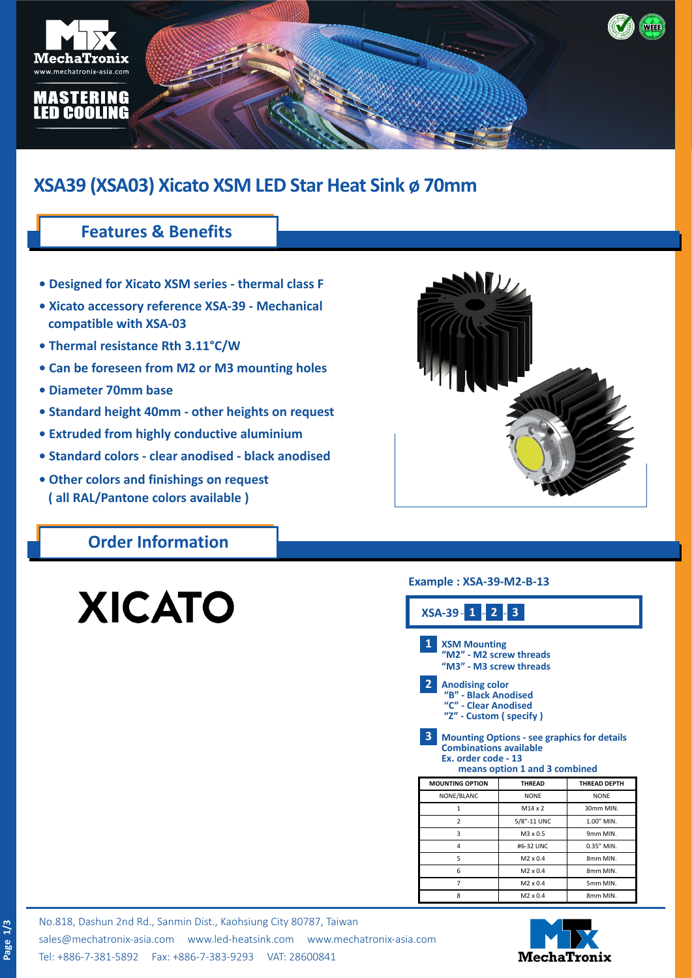

### **XSA39 (XSA03) Xicato XSM LED Star Heat Sink ø 70mm**

#### **Features & Benefits**

- **Designed for Xicato XSM series thermal class F**
- **Xicato accessory reference XSA-39 Mechanical compatible with XSA-03**
- **Thermal resistance Rth 3.11°C/W**
- **Can be foreseen from M2 or M3 mounting holes**
- **Diameter 70mm base**

**Page 1/3**

- **Standard height 40mm other heights on request**
- **Extruded from highly conductive aluminium**
- **Standard colors clear anodised black anodised**
- **Other colors and finishings on request ( all RAL/Pantone colors available )**

#### **Order Information**

# **XICATO**



#### **Example : XSA-39-M2-B-13**



No.818, Dashun 2nd Rd., Sanmin Dist., Kaohsiung City 80787, Taiwan [sales@mechatronix-asia.com](mailto:sales%40mechatronix-asia.com?subject=) [www.led-heatsink.com](http://www.led-heatsink.com) [www.mechatronix-asia.com](http://www.mechatronix-asia.com) Tel: +886-7-381-5892 Fax: +886-7-383-9293 VAT: 28600841



8 M2 x 0.4 8mm MIN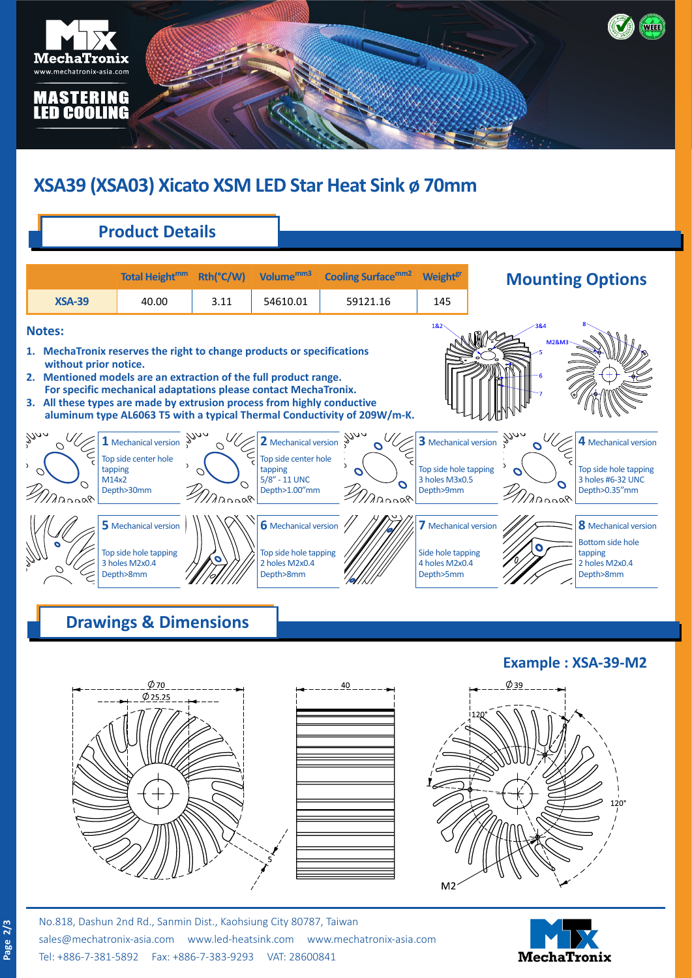

# **XSA39 (XSA03) Xicato XSM LED Star Heat Sink ø 70mm**

#### **Product Details**

|                                                                                                                                                                                                                                                                                                                                                                                                                     | <b>Total Height<sup>mm</sup></b>                                                 | Rth(°C/W) | Volume <sup>mm3</sup>                                                                            | <b>Cooling Surface</b> mm <sub>2</sub> | <b>Weight<sup>gr</sup></b>                                                      | <b>Mounting Options</b>                                                                                       |  |  |  |  |  |  |  |
|---------------------------------------------------------------------------------------------------------------------------------------------------------------------------------------------------------------------------------------------------------------------------------------------------------------------------------------------------------------------------------------------------------------------|----------------------------------------------------------------------------------|-----------|--------------------------------------------------------------------------------------------------|----------------------------------------|---------------------------------------------------------------------------------|---------------------------------------------------------------------------------------------------------------|--|--|--|--|--|--|--|
| <b>XSA-39</b>                                                                                                                                                                                                                                                                                                                                                                                                       | 40.00                                                                            | 3.11      | 54610.01                                                                                         | 59121.16                               | 145                                                                             |                                                                                                               |  |  |  |  |  |  |  |
| 182<br><b>Notes:</b>                                                                                                                                                                                                                                                                                                                                                                                                |                                                                                  |           |                                                                                                  |                                        |                                                                                 |                                                                                                               |  |  |  |  |  |  |  |
| <b>M2&amp;M</b><br>1. MechaTronix reserves the right to change products or specifications<br>without prior notice.<br>2. Mentioned models are an extraction of the full product range.<br>For specific mechanical adaptations please contact MechaTronix.<br>All these types are made by extrusion process from highly conductive<br>3.<br>aluminum type AL6063 T5 with a typical Thermal Conductivity of 209W/m-K. |                                                                                  |           |                                                                                                  |                                        |                                                                                 |                                                                                                               |  |  |  |  |  |  |  |
| $\hat{\gamma}_{\gamma \wedge \gamma}$<br>tapping<br>M14x2<br>9000                                                                                                                                                                                                                                                                                                                                                   | <b>1</b> Mechanical version $\int_{0}^{1}$<br>Top side center hole<br>Depth>30mm | ↷         | 2 Mechanical version $\int$<br>Top side center hole<br>tapping<br>5/8" - 11 UNC<br>Depth>1.00"mm | Ω<br>$\overline{O}$                    | 3 Mechanical version<br>Top side hole tapping<br>3 holes M3x0.5<br>Depth>9mm    | 3000<br>4 Mechanical version<br>Top side hole tapping<br>3 holes #6-32 UNC<br>$\overline{O}$<br>Depth>0.35"mm |  |  |  |  |  |  |  |
|                                                                                                                                                                                                                                                                                                                                                                                                                     | 5 Mechanical version<br>Top side hole tapping<br>3 holes M2x0.4<br>Depth>8mm     |           | <b>6</b> Mechanical version<br>Top side hole tapping<br>2 holes M2x0.4<br>Depth>8mm              |                                        | <b>7</b> Mechanical version<br>Side hole tapping<br>4 holes M2x0.4<br>Depth>5mm | 8 Mechanical version<br><b>Bottom side hole</b><br>tapping<br>2 holes M2x0.4<br>Depth>8mm                     |  |  |  |  |  |  |  |

# **Drawings & Dimensions**

**Example : XSA-39-M2**



No.818, Dashun 2nd Rd., Sanmin Dist., Kaohsiung City 80787, Taiwan [sales@mechatronix-asia.com](mailto:sales%40mechatronix-asia.com?subject=) [www.led-heatsink.com](http://www.led-heatsink.com) [www.mechatronix-asia.com](http://www.mechatronix-asia.com) Tel: +886-7-381-5892 Fax: +886-7-383-9293 VAT: 28600841